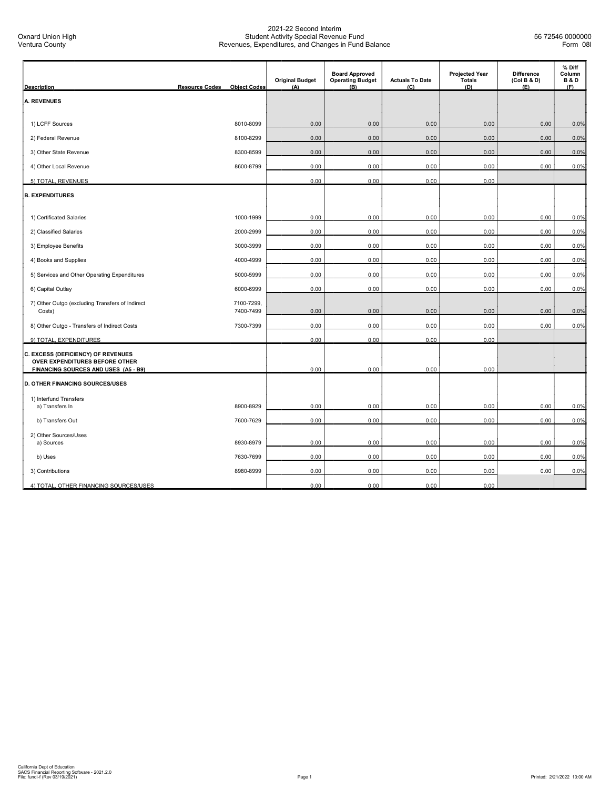| <b>Description</b>                                                                                           | <b>Resource Codes</b><br><b>Object Codes</b> | <b>Original Budget</b><br>(A) | <b>Board Approved</b><br><b>Operating Budget</b><br>(B) | <b>Actuals To Date</b><br>(C) | <b>Projected Year</b><br><b>Totals</b><br>(D) | <b>Difference</b><br>(Col B & D)<br>(E) | % Diff<br>Column<br><b>B&amp;D</b><br>(F) |
|--------------------------------------------------------------------------------------------------------------|----------------------------------------------|-------------------------------|---------------------------------------------------------|-------------------------------|-----------------------------------------------|-----------------------------------------|-------------------------------------------|
| <b>A. REVENUES</b>                                                                                           |                                              |                               |                                                         |                               |                                               |                                         |                                           |
|                                                                                                              |                                              |                               |                                                         |                               |                                               |                                         |                                           |
| 1) LCFF Sources                                                                                              | 8010-8099                                    | 0.00                          | 0.00                                                    | 0.00                          | 0.00                                          | 0.00                                    | 0.0%                                      |
| 2) Federal Revenue                                                                                           | 8100-8299                                    | 0.00                          | 0.00                                                    | 0.00                          | 0.00                                          | 0.00                                    | 0.0%                                      |
| 3) Other State Revenue                                                                                       | 8300-8599                                    | 0.00                          | 0.00                                                    | 0.00                          | 0.00                                          | 0.00                                    | 0.0%                                      |
| 4) Other Local Revenue                                                                                       | 8600-8799                                    | 0.00                          | 0.00                                                    | 0.00                          | 0.00                                          | 0.00                                    | 0.0%                                      |
| 5) TOTAL, REVENUES                                                                                           |                                              | 0.00                          | 0.00                                                    | 0.00                          | 0.00                                          |                                         |                                           |
| <b>B. EXPENDITURES</b>                                                                                       |                                              |                               |                                                         |                               |                                               |                                         |                                           |
| 1) Certificated Salaries                                                                                     | 1000-1999                                    | 0.00                          | 0.00                                                    | 0.00                          | 0.00                                          | 0.00                                    | 0.0%                                      |
| 2) Classified Salaries                                                                                       | 2000-2999                                    | 0.00                          | 0.00                                                    | 0.00                          | 0.00                                          | 0.00                                    | 0.0%                                      |
| 3) Employee Benefits                                                                                         | 3000-3999                                    | 0.00                          | 0.00                                                    | 0.00                          | 0.00                                          | 0.00                                    | 0.0%                                      |
| 4) Books and Supplies                                                                                        | 4000-4999                                    | 0.00                          | 0.00                                                    | 0.00                          | 0.00                                          | 0.00                                    | 0.0%                                      |
| 5) Services and Other Operating Expenditures                                                                 | 5000-5999                                    | 0.00                          | 0.00                                                    | 0.00                          | 0.00                                          | 0.00                                    | 0.0%                                      |
| 6) Capital Outlay                                                                                            | 6000-6999                                    | 0.00                          | 0.00                                                    | 0.00                          | 0.00                                          | 0.00                                    | 0.0%                                      |
| 7) Other Outgo (excluding Transfers of Indirect                                                              | 7100-7299,                                   |                               |                                                         |                               | 0.00                                          | 0.00                                    | 0.0%                                      |
| Costs)                                                                                                       | 7400-7499                                    | 0.00                          | 0.00                                                    | 0.00                          |                                               |                                         |                                           |
| 8) Other Outgo - Transfers of Indirect Costs                                                                 | 7300-7399                                    | 0.00                          | 0.00                                                    | 0.00                          | 0.00                                          | 0.00                                    | 0.0%                                      |
| 9) TOTAL, EXPENDITURES                                                                                       |                                              | 0.00                          | 0.00                                                    | 0.00                          | 0.00                                          |                                         |                                           |
| C. EXCESS (DEFICIENCY) OF REVENUES<br>OVER EXPENDITURES BEFORE OTHER<br>FINANCING SOURCES AND USES (A5 - B9) |                                              | 0.00                          | 0.00                                                    | 0.00                          | 0.00                                          |                                         |                                           |
| <b>D. OTHER FINANCING SOURCES/USES</b>                                                                       |                                              |                               |                                                         |                               |                                               |                                         |                                           |
| 1) Interfund Transfers                                                                                       |                                              |                               |                                                         |                               |                                               |                                         |                                           |
| a) Transfers In                                                                                              | 8900-8929                                    | 0.00                          | 0.00                                                    | 0.00                          | 0.00                                          | 0.00                                    | 0.0%                                      |
| b) Transfers Out                                                                                             | 7600-7629                                    | 0.00                          | 0.00                                                    | 0.00                          | 0.00                                          | 0.00                                    | 0.0%                                      |
| 2) Other Sources/Uses<br>a) Sources                                                                          | 8930-8979                                    | 0.00                          | 0.00                                                    | 0.00                          | 0.00                                          | 0.00                                    | 0.0%                                      |
| b) Uses                                                                                                      | 7630-7699                                    | 0.00                          | 0.00                                                    | 0.00                          | 0.00                                          | 0.00                                    | 0.0%                                      |
| 3) Contributions                                                                                             | 8980-8999                                    | 0.00                          | 0.00                                                    | 0.00                          | 0.00                                          | 0.00                                    | 0.0%                                      |
| 4) TOTAL, OTHER FINANCING SOURCES/USES                                                                       |                                              | 0.00                          | 0.00                                                    | 0.00                          | 0.00                                          |                                         |                                           |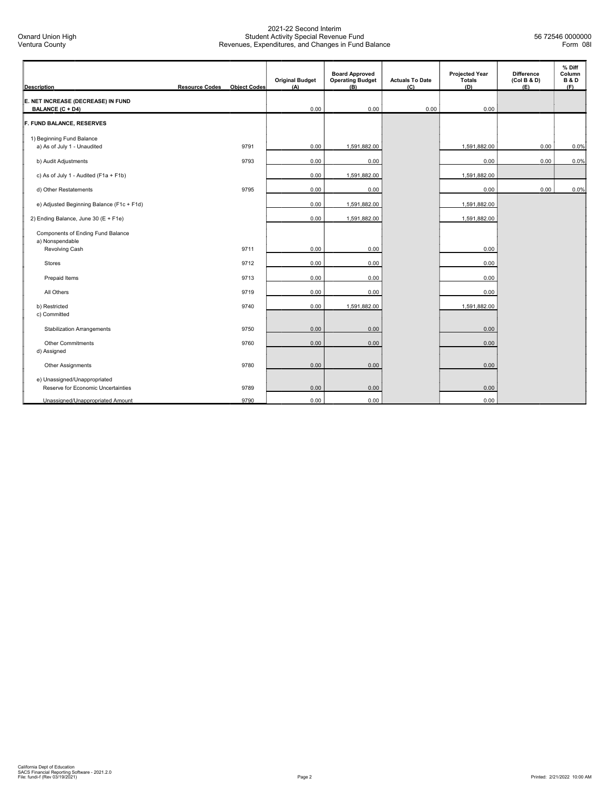| <b>Description</b>                                                 | <b>Resource Codes</b> | <b>Object Codes</b> | <b>Original Budget</b><br>(A) | <b>Board Approved</b><br><b>Operating Budget</b><br>(B) | <b>Actuals To Date</b><br>(C) | <b>Projected Year</b><br>Totals<br>(D) | <b>Difference</b><br>(Col B & D)<br>(E) | % Diff<br>Column<br><b>B&amp;D</b><br>(F) |
|--------------------------------------------------------------------|-----------------------|---------------------|-------------------------------|---------------------------------------------------------|-------------------------------|----------------------------------------|-----------------------------------------|-------------------------------------------|
| E. NET INCREASE (DECREASE) IN FUND<br><b>BALANCE (C + D4)</b>      |                       |                     | 0.00                          | 0.00                                                    | 0.00                          | 0.00                                   |                                         |                                           |
| F. FUND BALANCE, RESERVES                                          |                       |                     |                               |                                                         |                               |                                        |                                         |                                           |
| 1) Beginning Fund Balance<br>a) As of July 1 - Unaudited           |                       | 9791                | 0.00                          | 1,591,882.00                                            |                               | 1,591,882.00                           | 0.00                                    | 0.0%                                      |
| b) Audit Adjustments                                               |                       | 9793                | 0.00                          | 0.00                                                    |                               | 0.00                                   | 0.00                                    | 0.0%                                      |
| c) As of July 1 - Audited (F1a + F1b)                              |                       |                     | 0.00                          | 1,591,882.00                                            |                               | 1,591,882.00                           |                                         |                                           |
| d) Other Restatements                                              |                       | 9795                | 0.00                          | 0.00                                                    |                               | 0.00                                   | 0.00                                    | 0.0%                                      |
| e) Adjusted Beginning Balance (F1c + F1d)                          |                       |                     | 0.00                          | 1,591,882.00                                            |                               | 1,591,882.00                           |                                         |                                           |
| 2) Ending Balance, June 30 (E + F1e)                               |                       |                     | 0.00                          | 1,591,882.00                                            |                               | 1,591,882.00                           |                                         |                                           |
| Components of Ending Fund Balance<br>a) Nonspendable               |                       |                     |                               |                                                         |                               |                                        |                                         |                                           |
| Revolving Cash                                                     |                       | 9711                | 0.00                          | 0.00                                                    |                               | 0.00                                   |                                         |                                           |
| <b>Stores</b>                                                      |                       | 9712                | 0.00                          | 0.00                                                    |                               | 0.00                                   |                                         |                                           |
| Prepaid Items                                                      |                       | 9713                | 0.00                          | 0.00                                                    |                               | 0.00                                   |                                         |                                           |
| All Others                                                         |                       | 9719                | 0.00                          | 0.00                                                    |                               | 0.00                                   |                                         |                                           |
| b) Restricted<br>c) Committed                                      |                       | 9740                | 0.00                          | 1,591,882.00                                            |                               | 1,591,882.00                           |                                         |                                           |
| <b>Stabilization Arrangements</b>                                  |                       | 9750                | 0.00                          | 0.00                                                    |                               | 0.00                                   |                                         |                                           |
| Other Commitments<br>d) Assigned                                   |                       | 9760                | 0.00                          | 0.00                                                    |                               | 0.00                                   |                                         |                                           |
| Other Assignments                                                  |                       | 9780                | 0.00                          | 0.00                                                    |                               | 0.00                                   |                                         |                                           |
| e) Unassigned/Unappropriated<br>Reserve for Economic Uncertainties |                       | 9789                | 0.00                          | 0.00                                                    |                               | 0.00                                   |                                         |                                           |
| Unassigned/Unappropriated Amount                                   |                       | 9790                | 0.00                          | 0.00                                                    |                               | 0.00                                   |                                         |                                           |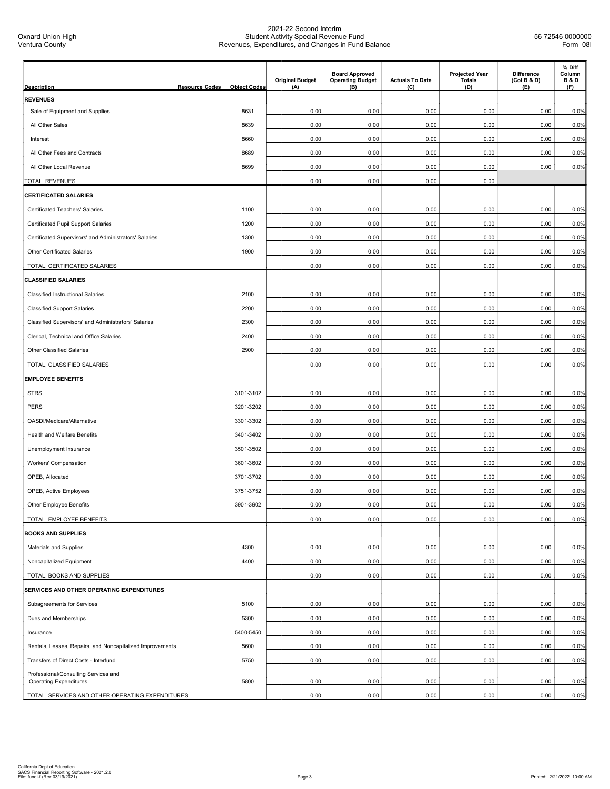| <b>Description</b>                                                    | <b>Resource Codes</b><br><b>Object Codes</b> | <b>Original Budget</b><br>(A) | <b>Board Approved</b><br><b>Operating Budget</b><br>(B) | <b>Actuals To Date</b><br>(C) | <b>Projected Year</b><br><b>Totals</b><br>(D) | <b>Difference</b><br>(Col B & D)<br>(E) | % Diff<br>Column<br><b>B&amp;D</b><br>(F) |
|-----------------------------------------------------------------------|----------------------------------------------|-------------------------------|---------------------------------------------------------|-------------------------------|-----------------------------------------------|-----------------------------------------|-------------------------------------------|
| <b>REVENUES</b>                                                       |                                              |                               |                                                         |                               |                                               |                                         |                                           |
| Sale of Equipment and Supplies                                        | 8631                                         | 0.00                          | 0.00                                                    | 0.00                          | 0.00                                          | 0.00                                    | 0.0%                                      |
| All Other Sales                                                       | 8639                                         | 0.00                          | 0.00                                                    | 0.00                          | 0.00                                          | 0.00                                    | 0.0%                                      |
| Interest                                                              | 8660                                         | 0.00                          | 0.00                                                    | 0.00                          | 0.00                                          | 0.00                                    | 0.0%                                      |
| All Other Fees and Contracts                                          | 8689                                         | 0.00                          | 0.00                                                    | 0.00                          | 0.00                                          | 0.00                                    | 0.0%                                      |
| All Other Local Revenue                                               | 8699                                         | 0.00                          | 0.00                                                    | 0.00                          | 0.00                                          | 0.00                                    | 0.0%                                      |
| TOTAL, REVENUES                                                       |                                              | 0.00                          | 0.00                                                    | 0.00                          | 0.00                                          |                                         |                                           |
| <b>CERTIFICATED SALARIES</b>                                          |                                              |                               |                                                         |                               |                                               |                                         |                                           |
| Certificated Teachers' Salaries                                       | 1100                                         | 0.00                          | 0.00                                                    | 0.00                          | 0.00                                          | 0.00                                    | 0.0%                                      |
| Certificated Pupil Support Salaries                                   | 1200                                         | 0.00                          | 0.00                                                    | 0.00                          | 0.00                                          | 0.00                                    | 0.0%                                      |
| Certificated Supervisors' and Administrators' Salaries                | 1300                                         | 0.00                          | 0.00                                                    | 0.00                          | 0.00                                          | 0.00                                    | 0.0%                                      |
| Other Certificated Salaries                                           | 1900                                         | 0.00                          | 0.00                                                    | 0.00                          | 0.00                                          | 0.00                                    | 0.0%                                      |
| TOTAL, CERTIFICATED SALARIES                                          |                                              | 0.00                          | 0.00                                                    | 0.00                          | 0.00                                          | 0.00                                    | 0.0%                                      |
| <b>CLASSIFIED SALARIES</b>                                            |                                              |                               |                                                         |                               |                                               |                                         |                                           |
| <b>Classified Instructional Salaries</b>                              | 2100                                         | 0.00                          | 0.00                                                    | 0.00                          | 0.00                                          | 0.00                                    | 0.0%                                      |
| <b>Classified Support Salaries</b>                                    | 2200                                         | 0.00                          | 0.00                                                    | 0.00                          | 0.00                                          | 0.00                                    | 0.0%                                      |
| Classified Supervisors' and Administrators' Salaries                  | 2300                                         | 0.00                          | 0.00                                                    | 0.00                          | 0.00                                          | 0.00                                    | 0.0%                                      |
| Clerical, Technical and Office Salaries                               | 2400                                         | 0.00                          | 0.00                                                    | 0.00                          | 0.00                                          | 0.00                                    | 0.0%                                      |
| Other Classified Salaries                                             | 2900                                         | 0.00                          | 0.00                                                    | 0.00                          | 0.00                                          | 0.00                                    | 0.0%                                      |
| TOTAL, CLASSIFIED SALARIES                                            |                                              | 0.00                          | 0.00                                                    | 0.00                          | 0.00                                          | 0.00                                    | 0.0%                                      |
| <b>EMPLOYEE BENEFITS</b>                                              |                                              |                               |                                                         |                               |                                               |                                         |                                           |
| <b>STRS</b>                                                           | 3101-3102                                    | 0.00                          | 0.00                                                    | 0.00                          | 0.00                                          | 0.00                                    | 0.0%                                      |
| PERS                                                                  | 3201-3202                                    | 0.00                          | 0.00                                                    | 0.00                          | 0.00                                          | 0.00                                    | 0.0%                                      |
| OASDI/Medicare/Alternative                                            | 3301-3302                                    | 0.00                          | 0.00                                                    | 0.00                          | 0.00                                          | 0.00                                    | 0.0%                                      |
| Health and Welfare Benefits                                           | 3401-3402                                    | 0.00                          | 0.00                                                    | 0.00                          | 0.00                                          | 0.00                                    | 0.0%                                      |
| Unemployment Insurance                                                | 3501-3502                                    | 0.00                          | 0.00                                                    | 0.00                          | 0.00                                          | 0.00                                    | 0.0%                                      |
| Workers' Compensation                                                 | 3601-3602                                    | 0.00                          | 0.00                                                    | 0.00                          | 0.00                                          | 0.00                                    | 0.0%                                      |
| OPEB, Allocated                                                       | 3701-3702                                    | 0.00                          | 0.00                                                    | 0.00                          | 0.00                                          | 0.00                                    | 0.0%                                      |
| <b>OPEB, Active Employees</b>                                         | 3751-3752                                    | 0.00                          | 0.00                                                    | 0.00                          | 0.00                                          | 0.00                                    | 0.0%                                      |
| Other Employee Benefits                                               | 3901-3902                                    | 0.00                          | 0.00                                                    | 0.00                          | 0.00                                          | 0.00                                    | 0.0%                                      |
| TOTAL, EMPLOYEE BENEFITS                                              |                                              | 0.00                          | 0.00                                                    | 0.00                          | 0.00                                          | 0.00                                    | 0.0%                                      |
| <b>BOOKS AND SUPPLIES</b>                                             |                                              |                               |                                                         |                               |                                               |                                         |                                           |
| Materials and Supplies                                                | 4300                                         | 0.00                          | 0.00                                                    | 0.00                          | 0.00                                          | 0.00                                    | 0.0%                                      |
| Noncapitalized Equipment                                              | 4400                                         | 0.00                          | 0.00                                                    | 0.00                          | 0.00                                          | 0.00                                    | 0.0%                                      |
| TOTAL, BOOKS AND SUPPLIES                                             |                                              | 0.00                          | 0.00                                                    | 0.00                          | 0.00                                          | 0.00                                    | 0.0%                                      |
| SERVICES AND OTHER OPERATING EXPENDITURES                             |                                              |                               |                                                         |                               |                                               |                                         |                                           |
| Subagreements for Services                                            | 5100                                         | 0.00                          | 0.00                                                    | 0.00                          | 0.00                                          | 0.00                                    | 0.0%                                      |
| Dues and Memberships                                                  | 5300                                         | 0.00                          | 0.00                                                    | 0.00                          | 0.00                                          | 0.00                                    | 0.0%                                      |
| Insurance                                                             | 5400-5450                                    | 0.00                          | 0.00                                                    | 0.00                          | 0.00                                          | 0.00                                    | 0.0%                                      |
| Rentals, Leases, Repairs, and Noncapitalized Improvements             | 5600                                         | 0.00                          | 0.00                                                    | 0.00                          | 0.00                                          | 0.00                                    | 0.0%                                      |
| Transfers of Direct Costs - Interfund                                 | 5750                                         | 0.00                          | 0.00                                                    | 0.00                          | 0.00                                          | 0.00                                    | 0.0%                                      |
| Professional/Consulting Services and<br><b>Operating Expenditures</b> | 5800                                         | 0.00                          | 0.00                                                    | 0.00                          | 0.00                                          | 0.00                                    | 0.0%                                      |
| TOTAL, SERVICES AND OTHER OPERATING EXPENDITURES                      |                                              | 0.00                          | 0.00                                                    | 0.00                          | 0.00                                          | 0.00                                    | 0.0%                                      |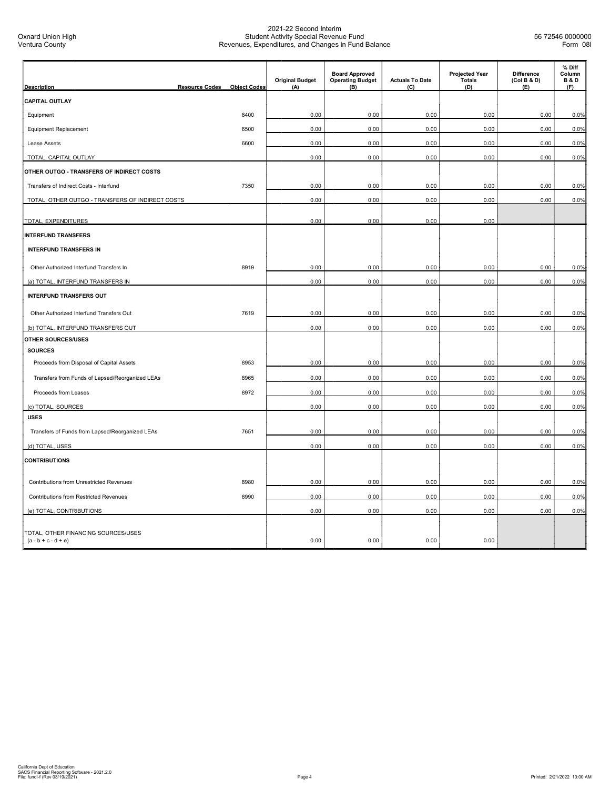| <b>Description</b>                                           | <b>Resource Codes</b> | <b>Object Codes</b> | <b>Original Budget</b><br>(A) | <b>Board Approved</b><br><b>Operating Budget</b><br>(B) | <b>Actuals To Date</b><br>(C) | <b>Projected Year</b><br><b>Totals</b><br>(D) | Difference<br>(Col B & D)<br>(E) | % Diff<br>Column<br><b>B&amp;D</b><br>(F) |
|--------------------------------------------------------------|-----------------------|---------------------|-------------------------------|---------------------------------------------------------|-------------------------------|-----------------------------------------------|----------------------------------|-------------------------------------------|
| <b>CAPITAL OUTLAY</b>                                        |                       |                     |                               |                                                         |                               |                                               |                                  |                                           |
| Equipment                                                    |                       | 6400                | 0.00                          | 0.00                                                    | 0.00                          | 0.00                                          | 0.00                             | 0.0%                                      |
| Equipment Replacement                                        |                       | 6500                | 0.00                          | 0.00                                                    | 0.00                          | 0.00                                          | 0.00                             | 0.0%                                      |
| Lease Assets                                                 |                       | 6600                | 0.00                          | 0.00                                                    | 0.00                          | 0.00                                          | 0.00                             | 0.0%                                      |
| TOTAL, CAPITAL OUTLAY                                        |                       |                     | 0.00                          | 0.00                                                    | 0.00                          | 0.00                                          | 0.00                             | 0.0%                                      |
| OTHER OUTGO - TRANSFERS OF INDIRECT COSTS                    |                       |                     |                               |                                                         |                               |                                               |                                  |                                           |
| Transfers of Indirect Costs - Interfund                      |                       | 7350                | 0.00                          | 0.00                                                    | 0.00                          | 0.00                                          | 0.00                             | 0.0%                                      |
| TOTAL, OTHER OUTGO - TRANSFERS OF INDIRECT COSTS             |                       |                     | 0.00                          | 0.00                                                    | 0.00                          | 0.00                                          | 0.00                             | 0.0%                                      |
| TOTAL, EXPENDITURES                                          |                       |                     | 0.00                          | 0.00                                                    | 0.00                          | 0.00                                          |                                  |                                           |
| <b>INTERFUND TRANSFERS</b>                                   |                       |                     |                               |                                                         |                               |                                               |                                  |                                           |
| <b>INTERFUND TRANSFERS IN</b>                                |                       |                     |                               |                                                         |                               |                                               |                                  |                                           |
|                                                              |                       |                     |                               |                                                         |                               |                                               |                                  |                                           |
| Other Authorized Interfund Transfers In                      |                       | 8919                | 0.00                          | 0.00                                                    | 0.00                          | 0.00                                          | 0.00                             | 0.0%                                      |
| (a) TOTAL, INTERFUND TRANSFERS IN                            |                       |                     | 0.00                          | 0.00                                                    | 0.00                          | 0.00                                          | 0.00                             | 0.0%                                      |
| <b>INTERFUND TRANSFERS OUT</b>                               |                       |                     |                               |                                                         |                               |                                               |                                  |                                           |
| Other Authorized Interfund Transfers Out                     |                       | 7619                | 0.00                          | 0.00                                                    | 0.00                          | 0.00                                          | 0.00                             | 0.0%                                      |
| (b) TOTAL, INTERFUND TRANSFERS OUT                           |                       |                     | 0.00                          | 0.00                                                    | 0.00                          | 0.00                                          | 0.00                             | 0.0%                                      |
| OTHER SOURCES/USES                                           |                       |                     |                               |                                                         |                               |                                               |                                  |                                           |
| <b>SOURCES</b>                                               |                       |                     |                               |                                                         |                               |                                               |                                  |                                           |
| Proceeds from Disposal of Capital Assets                     |                       | 8953                | 0.00                          | 0.00                                                    | 0.00                          | 0.00                                          | 0.00                             | 0.0%                                      |
| Transfers from Funds of Lapsed/Reorganized LEAs              |                       | 8965                | 0.00                          | 0.00                                                    | 0.00                          | 0.00                                          | 0.00                             | 0.0%                                      |
| Proceeds from Leases                                         |                       | 8972                | 0.00                          | 0.00                                                    | 0.00                          | 0.00                                          | 0.00                             | 0.0%                                      |
| (c) TOTAL, SOURCES                                           |                       |                     | 0.00                          | 0.00                                                    | 0.00                          | 0.00                                          | 0.00                             | 0.0%                                      |
| <b>USES</b>                                                  |                       |                     |                               |                                                         |                               |                                               |                                  |                                           |
| Transfers of Funds from Lapsed/Reorganized LEAs              |                       | 7651                | 0.00                          | 0.00                                                    | 0.00                          | 0.00                                          | 0.00                             | 0.0%                                      |
| (d) TOTAL, USES                                              |                       |                     | 0.00                          | 0.00                                                    | 0.00                          | 0.00                                          | 0.00                             | 0.0%                                      |
| <b>CONTRIBUTIONS</b>                                         |                       |                     |                               |                                                         |                               |                                               |                                  |                                           |
| Contributions from Unrestricted Revenues                     |                       | 8980                | 0.00                          | 0.00                                                    | 0.00                          | 0.00                                          | 0.00                             | 0.0%                                      |
| <b>Contributions from Restricted Revenues</b>                |                       | 8990                | 0.00                          | 0.00                                                    | 0.00                          | 0.00                                          | 0.00                             | 0.0%                                      |
| (e) TOTAL, CONTRIBUTIONS                                     |                       |                     | 0.00                          | 0.00                                                    | 0.00                          | 0.00                                          | 0.00                             | 0.0%                                      |
| TOTAL, OTHER FINANCING SOURCES/USES<br>$(a - b + c - d + e)$ |                       |                     | 0.00                          | 0.00                                                    | 0.00                          | 0.00                                          |                                  |                                           |